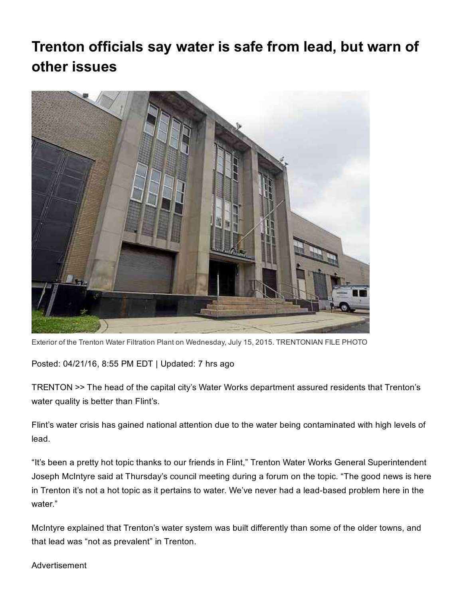## Trenton officials say water is safe from lead, but warn of other issues



Exterior of the Trenton Water Filtration Plant on Wednesday, July 15, 2015. TRENTONIAN FILE PHOTO

Posted: 04/21/16, 8:55 PM EDT | Updated: 7 hrs ago

TRENTON >> The head of the capital city's Water Works department assured residents that Trenton's water quality is better than Flint's.

Flint's water crisis has gained national attention due to the water being contaminated with high levels of lead.

"It's been a pretty hot topic thanks to our friends in Flint," Trenton Water Works General Superintendent Joseph McIntyre said at Thursday's council meeting during a forum on the topic. "The good news is here in Trenton it's not a hot topic as it pertains to water. We've never had a lead-based problem here in the water."

McIntyre explained that Trenton's water system was built differently than some of the older towns, and that lead was "not as prevalent" in Trenton.

Advertisement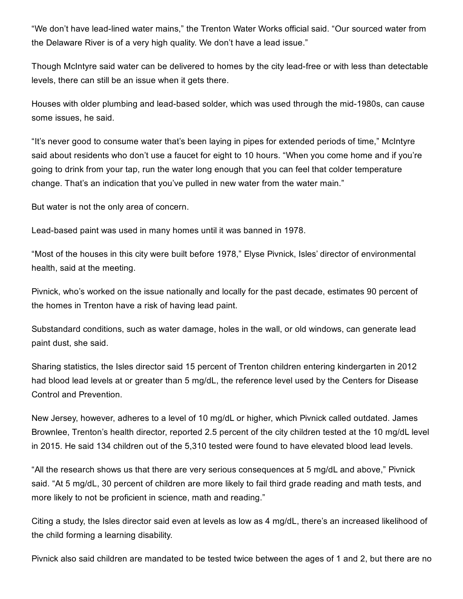"We don't have lead-lined water mains," the Trenton Water Works official said. "Our sourced water from the Delaware River is of a very high quality. We don't have a lead issue."

Though McIntyre said water can be delivered to homes by the city lead-free or with less than detectable levels, there can still be an issue when it gets there.

Houses with older plumbing and lead-based solder, which was used through the mid-1980s, can cause some issues, he said.

"It's never good to consume water that's been laying in pipes for extended periods of time," McIntyre said about residents who don't use a faucet for eight to 10 hours. "When you come home and if you're going to drink from your tap, run the water long enough that you can feel that colder temperature change. That's an indication that you've pulled in new water from the water main."

But water is not the only area of concern.

Lead-based paint was used in many homes until it was banned in 1978.

"Most of the houses in this city were built before 1978," Elyse Pivnick, Isles' director of environmental health, said at the meeting.

Pivnick, who's worked on the issue nationally and locally for the past decade, estimates 90 percent of the homes in Trenton have a risk of having lead paint.

Substandard conditions, such as water damage, holes in the wall, or old windows, can generate lead paint dust, she said.

Sharing statistics, the Isles director said 15 percent of Trenton children entering kindergarten in 2012 had blood lead levels at or greater than 5 mg/dL, the reference level used by the Centers for Disease Control and Prevention.

New Jersey, however, adheres to a level of 10 mg/dL or higher, which Pivnick called outdated. James Brownlee, Trenton's health director, reported 2.5 percent of the city children tested at the 10 mg/dL level in 2015. He said 134 children out of the 5,310 tested were found to have elevated blood lead levels.

"All the research shows us that there are very serious consequences at 5 mg/dL and above," Pivnick said. "At 5 mg/dL, 30 percent of children are more likely to fail third grade reading and math tests, and more likely to not be proficient in science, math and reading."

Citing a study, the Isles director said even at levels as low as 4 mg/dL, there's an increased likelihood of the child forming a learning disability.

Pivnick also said children are mandated to be tested twice between the ages of 1 and 2, but there are no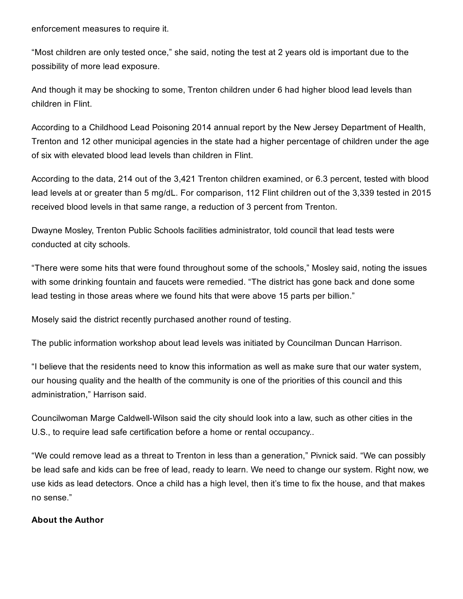enforcement measures to require it.

"Most children are only tested once," she said, noting the test at 2 years old is important due to the possibility of more lead exposure.

And though it may be shocking to some, Trenton children under 6 had higher blood lead levels than children in Flint.

According to a Childhood Lead Poisoning 2014 annual report by the New Jersey Department of Health, Trenton and 12 other municipal agencies in the state had a higher percentage of children under the age of six with elevated blood lead levels than children in Flint.

According to the data, 214 out of the 3,421 Trenton children examined, or 6.3 percent, tested with blood lead levels at or greater than 5 mg/dL. For comparison, 112 Flint children out of the 3,339 tested in 2015 received blood levels in that same range, a reduction of 3 percent from Trenton.

Dwayne Mosley, Trenton Public Schools facilities administrator, told council that lead tests were conducted at city schools.

"There were some hits that were found throughout some of the schools," Mosley said, noting the issues with some drinking fountain and faucets were remedied. "The district has gone back and done some lead testing in those areas where we found hits that were above 15 parts per billion."

Mosely said the district recently purchased another round of testing.

The public information workshop about lead levels was initiated by Councilman Duncan Harrison.

"I believe that the residents need to know this information as well as make sure that our water system, our housing quality and the health of the community is one of the priorities of this council and this administration," Harrison said.

Councilwoman Marge Caldwell-Wilson said the city should look into a law, such as other cities in the U.S., to require lead safe certification before a home or rental occupancy..

"We could remove lead as a threat to Trenton in less than a generation," Pivnick said. "We can possibly be lead safe and kids can be free of lead, ready to learn. We need to change our system. Right now, we use kids as lead detectors. Once a child has a high level, then it's time to fix the house, and that makes no sense."

## About the Author